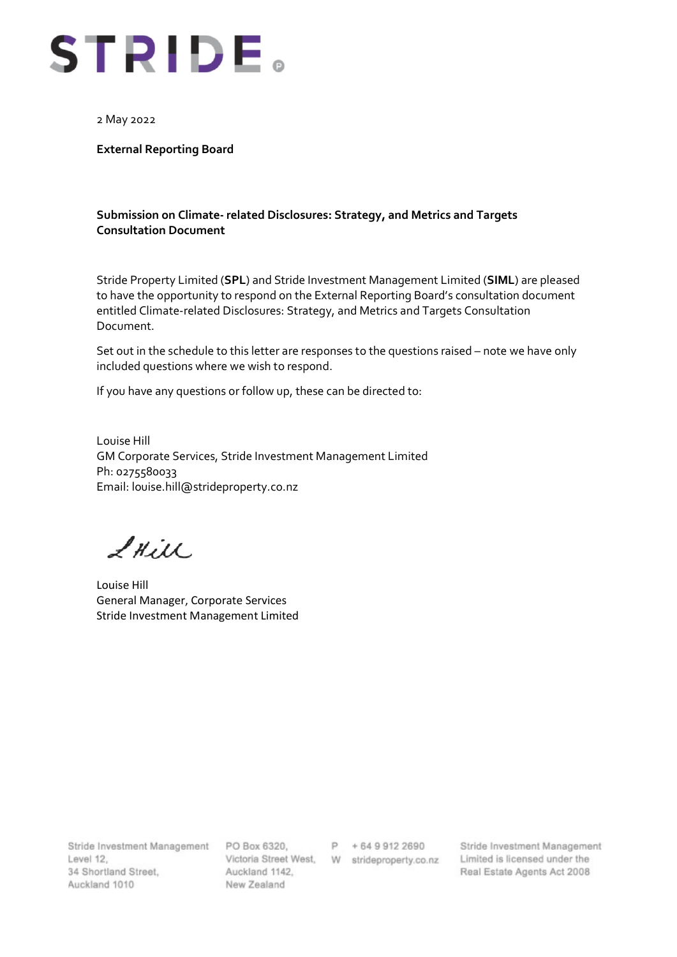

2 May 2022

**External Reporting Board**

## **Submission on Climate- related Disclosures: Strategy, and Metrics and Targets Consultation Document**

Stride Property Limited (**SPL**) and Stride Investment Management Limited (**SIML**) are pleased to have the opportunity to respond on the External Reporting Board's consultation document entitled Climate-related Disclosures: Strategy, and Metrics and Targets Consultation Document.

Set out in the schedule to this letter are responses to the questions raised – note we have only included questions where we wish to respond.

If you have any questions or follow up, these can be directed to:

Louise Hill GM Corporate Services, Stride Investment Management Limited Ph: 0275580033 Email: louise.hill@strideproperty.co.nz

LHill

Louise Hill General Manager, Corporate Services Stride Investment Management Limited

Stride Investment Management PO Box 6320, P + 64 9 912 2690 Level 12. 34 Shortland Street, Auckland 1010

Auckland 1142. New Zealand

Stride Investment Management Victoria Street West, W strideproperty.co.nz Limited is licensed under the Real Estate Agents Act 2008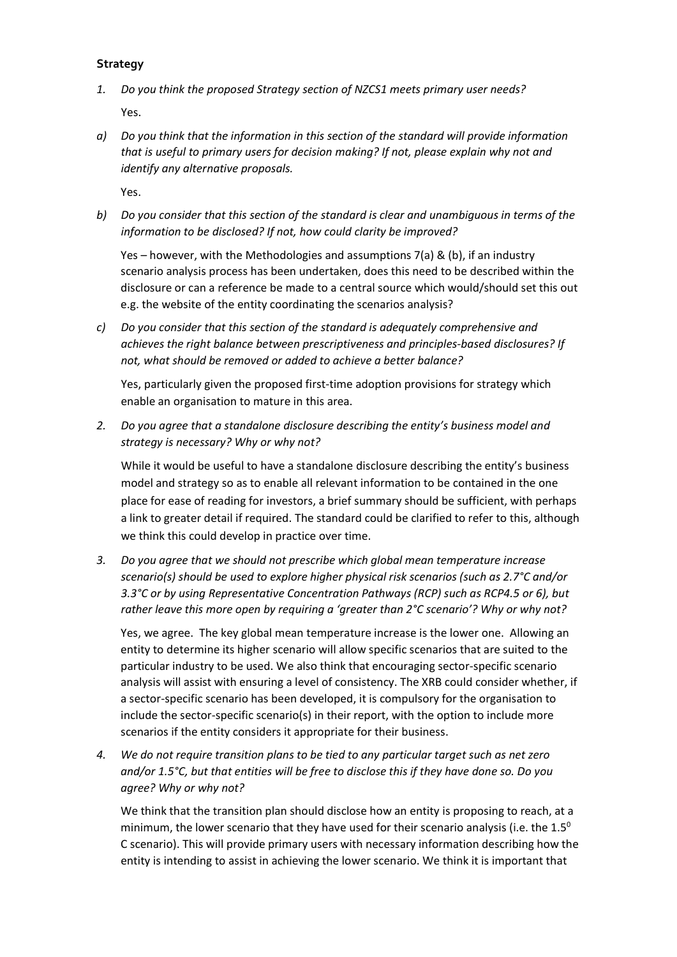## **Strategy**

- *1. Do you think the proposed Strategy section of NZCS1 meets primary user needs?*  Yes.
- *a) Do you think that the information in this section of the standard will provide information that is useful to primary users for decision making? If not, please explain why not and identify any alternative proposals.*

Yes.

*b) Do you consider that this section of the standard is clear and unambiguous in terms of the information to be disclosed? If not, how could clarity be improved?* 

Yes – however, with the Methodologies and assumptions 7(a) & (b), if an industry scenario analysis process has been undertaken, does this need to be described within the disclosure or can a reference be made to a central source which would/should set this out e.g. the website of the entity coordinating the scenarios analysis?

*c) Do you consider that this section of the standard is adequately comprehensive and achieves the right balance between prescriptiveness and principles-based disclosures? If not, what should be removed or added to achieve a better balance?* 

Yes, particularly given the proposed first-time adoption provisions for strategy which enable an organisation to mature in this area.

*2. Do you agree that a standalone disclosure describing the entity's business model and strategy is necessary? Why or why not?* 

While it would be useful to have a standalone disclosure describing the entity's business model and strategy so as to enable all relevant information to be contained in the one place for ease of reading for investors, a brief summary should be sufficient, with perhaps a link to greater detail if required. The standard could be clarified to refer to this, although we think this could develop in practice over time.

*3. Do you agree that we should not prescribe which global mean temperature increase scenario(s) should be used to explore higher physical risk scenarios (such as 2.7°C and/or 3.3°C or by using Representative Concentration Pathways (RCP) such as RCP4.5 or 6), but rather leave this more open by requiring a 'greater than 2°C scenario'? Why or why not?*

Yes, we agree. The key global mean temperature increase is the lower one. Allowing an entity to determine its higher scenario will allow specific scenarios that are suited to the particular industry to be used. We also think that encouraging sector-specific scenario analysis will assist with ensuring a level of consistency. The XRB could consider whether, if a sector-specific scenario has been developed, it is compulsory for the organisation to include the sector-specific scenario(s) in their report, with the option to include more scenarios if the entity considers it appropriate for their business.

*4. We do not require transition plans to be tied to any particular target such as net zero and/or 1.5°C, but that entities will be free to disclose this if they have done so. Do you agree? Why or why not?* 

We think that the transition plan should disclose how an entity is proposing to reach, at a minimum, the lower scenario that they have used for their scenario analysis (i.e. the  $1.5^\circ$ C scenario). This will provide primary users with necessary information describing how the entity is intending to assist in achieving the lower scenario. We think it is important that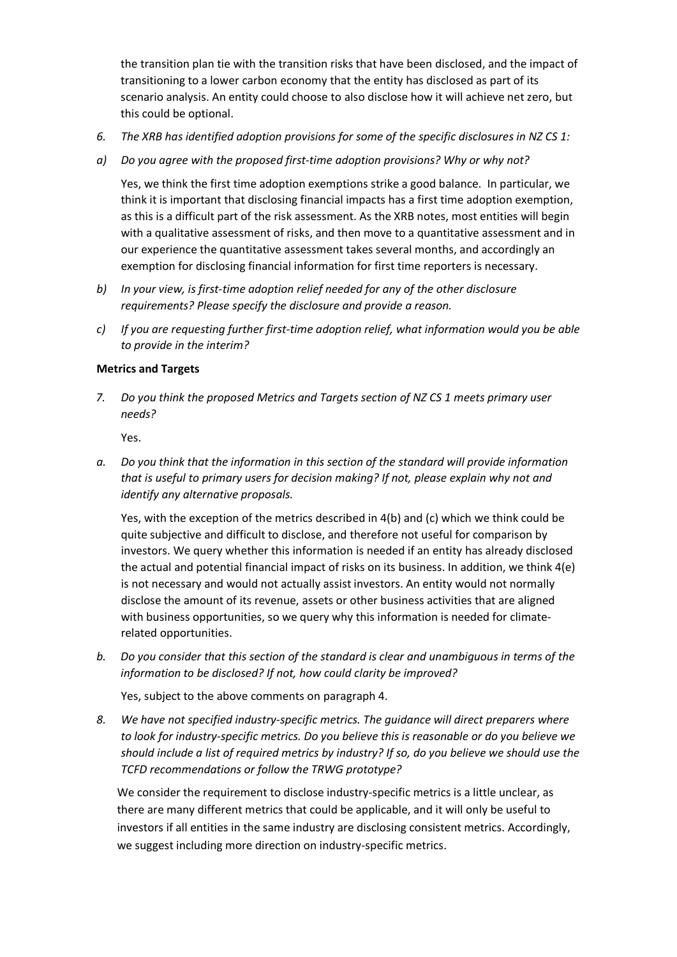the transition plan tie with the transition risks that have been disclosed, and the impact of transitioning to a lower carbon economy that the entity has disclosed as part of its scenario analysis. An entity could choose to also disclose how it will achieve net zero, but this could be optional.

- *6. The XRB has identified adoption provisions for some of the specific disclosures in NZ CS 1:*
- *a) Do you agree with the proposed first-time adoption provisions? Why or why not?*

Yes, we think the first time adoption exemptions strike a good balance. In particular, we think it is important that disclosing financial impacts has a first time adoption exemption, as this is a difficult part of the risk assessment. As the XRB notes, most entities will begin with a qualitative assessment of risks, and then move to a quantitative assessment and in our experience the quantitative assessment takes several months, and accordingly an exemption for disclosing financial information for first time reporters is necessary.

- *b) In your view, is first-time adoption relief needed for any of the other disclosure requirements? Please specify the disclosure and provide a reason.*
- *c) If you are requesting further first-time adoption relief, what information would you be able to provide in the interim?*

## **Metrics and Targets**

*7. Do you think the proposed Metrics and Targets section of NZ CS 1 meets primary user needs?* 

Yes.

*a. Do you think that the information in this section of the standard will provide information that is useful to primary users for decision making? If not, please explain why not and identify any alternative proposals.* 

Yes, with the exception of the metrics described in 4(b) and (c) which we think could be quite subjective and difficult to disclose, and therefore not useful for comparison by investors. We query whether this information is needed if an entity has already disclosed the actual and potential financial impact of risks on its business. In addition, we think 4(e) is not necessary and would not actually assist investors. An entity would not normally disclose the amount of its revenue, assets or other business activities that are aligned with business opportunities, so we query why this information is needed for climaterelated opportunities.

*b. Do you consider that this section of the standard is clear and unambiguous in terms of the information to be disclosed? If not, how could clarity be improved?* 

Yes, subject to the above comments on paragraph 4.

*8. We have not specified industry-specific metrics. The guidance will direct preparers where to look for industry-specific metrics. Do you believe this is reasonable or do you believe we should include a list of required metrics by industry? If so, do you believe we should use the TCFD recommendations or follow the TRWG prototype?*

We consider the requirement to disclose industry-specific metrics is a little unclear, as there are many different metrics that could be applicable, and it will only be useful to investors if all entities in the same industry are disclosing consistent metrics. Accordingly, we suggest including more direction on industry-specific metrics.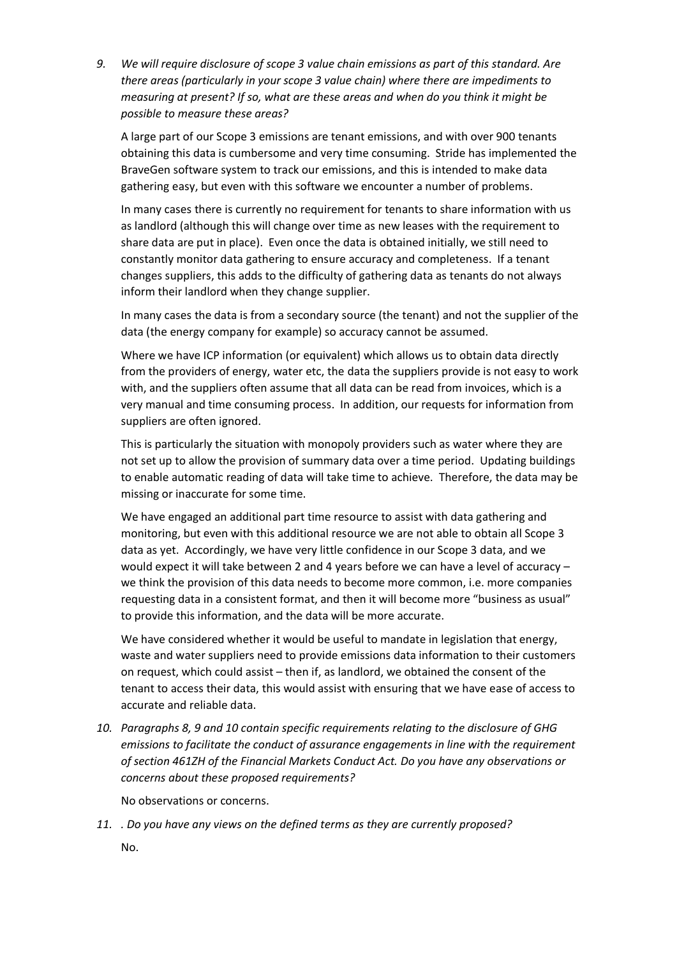*9. We will require disclosure of scope 3 value chain emissions as part of this standard. Are there areas (particularly in your scope 3 value chain) where there are impediments to measuring at present? If so, what are these areas and when do you think it might be possible to measure these areas?*

A large part of our Scope 3 emissions are tenant emissions, and with over 900 tenants obtaining this data is cumbersome and very time consuming. Stride has implemented the BraveGen software system to track our emissions, and this is intended to make data gathering easy, but even with this software we encounter a number of problems.

In many cases there is currently no requirement for tenants to share information with us as landlord (although this will change over time as new leases with the requirement to share data are put in place). Even once the data is obtained initially, we still need to constantly monitor data gathering to ensure accuracy and completeness. If a tenant changes suppliers, this adds to the difficulty of gathering data as tenants do not always inform their landlord when they change supplier.

In many cases the data is from a secondary source (the tenant) and not the supplier of the data (the energy company for example) so accuracy cannot be assumed.

Where we have ICP information (or equivalent) which allows us to obtain data directly from the providers of energy, water etc, the data the suppliers provide is not easy to work with, and the suppliers often assume that all data can be read from invoices, which is a very manual and time consuming process. In addition, our requests for information from suppliers are often ignored.

This is particularly the situation with monopoly providers such as water where they are not set up to allow the provision of summary data over a time period. Updating buildings to enable automatic reading of data will take time to achieve. Therefore, the data may be missing or inaccurate for some time.

We have engaged an additional part time resource to assist with data gathering and monitoring, but even with this additional resource we are not able to obtain all Scope 3 data as yet. Accordingly, we have very little confidence in our Scope 3 data, and we would expect it will take between 2 and 4 years before we can have a level of accuracy – we think the provision of this data needs to become more common, i.e. more companies requesting data in a consistent format, and then it will become more "business as usual" to provide this information, and the data will be more accurate.

We have considered whether it would be useful to mandate in legislation that energy, waste and water suppliers need to provide emissions data information to their customers on request, which could assist – then if, as landlord, we obtained the consent of the tenant to access their data, this would assist with ensuring that we have ease of access to accurate and reliable data.

*10. Paragraphs 8, 9 and 10 contain specific requirements relating to the disclosure of GHG emissions to facilitate the conduct of assurance engagements in line with the requirement of section 461ZH of the Financial Markets Conduct Act. Do you have any observations or concerns about these proposed requirements?*

No observations or concerns.

*11. . Do you have any views on the defined terms as they are currently proposed?*